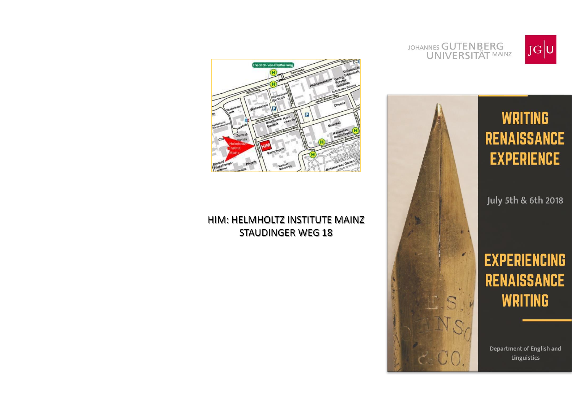

JOHANNES GUTENBERG **UNIVERSITÄT MAINZ** 



July 5th & 6th 2018

# **EXPERIENCING RENAISSANCE WRITING**

Department of English and Linguistics



# HIM: HELMHOLTZ INSTITUTE MAINZ **STAUDINGER WEG 18**